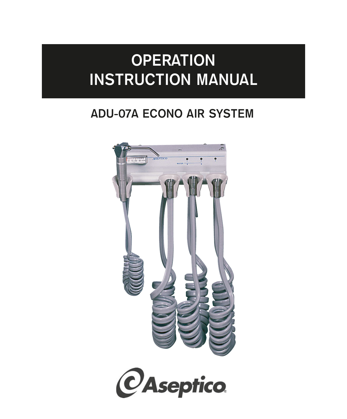# **OPERATION INSTRUCTION MANUAL**

# **ADU-07A ECONO AIR SYSTEM**

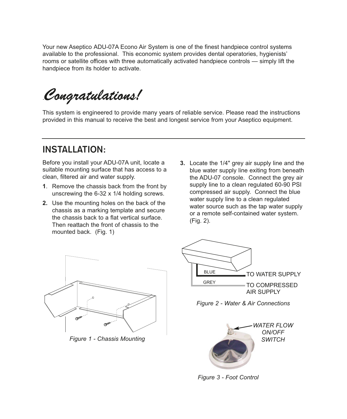Your new Aseptico ADU-07A Econo Air System is one of the finest handpiece control systems available to the professional. This economic system provides dental operatories, hygienists' rooms or satellite offices with three automatically activated handpiece controls — simply lift the handpiece from its holder to activate.

.*Congratulations!*

This system is engineered to provide many years of reliable service. Please read the instructions provided in this manual to receive the best and longest service from your Aseptico equipment.

## **INSTALLATION:**

Before you install your ADU-07A unit, locate a suitable mounting surface that has access to a clean, filtered air and water supply.

- **1**. Remove the chassis back from the front by unscrewing the 6-32 x 1/4 holding screws.
- **2.** Use the mounting holes on the back of the chassis as a marking template and secure the chassis back to a flat vertical surface. Then reattach the front of chassis to the mounted back. (Fig. 1)
- **3.** Locate the 1/4" grey air supply line and the blue water supply line exiting from beneath the ADU-07 console. Connect the grey air supply line to a clean regulated 60-90 PSI compressed air supply. Connect the blue water supply line to a clean regulated water source such as the tap water supply or a remote self-contained water system. (Fig. 2).



*Figure 1 - Chassis Mounting*



*Figure 2 - Water & Air Connections*



*Figure 3 - Foot Control*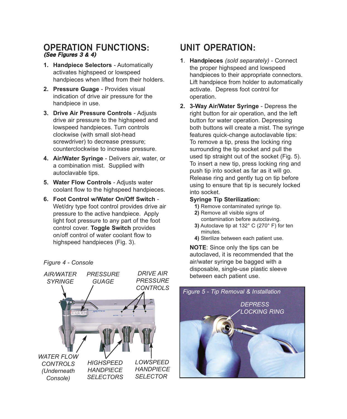#### **OPERATION FUNCTIONS: (See Figures 3 & 4)**

- **1. Handpiece Selectors** Automatically activates highspeed or lowspeed handpieces when lifted from their holders.
- **2. Pressure Guage** Provides visual indication of drive air pressure for the handpiece in use.
- **3. Drive Air Pressure Controls** Adjusts drive air pressure to the highspeed and lowspeed handpieces. Turn controls clockwise (with small slot-head screwdriver) to decrease pressure; counterclockwise to increase pressure.
- **4. Air/Water Syringe** Delivers air, water, or a combination mist. Supplied with autoclavable tips.
- **5. Water Flow Controls** Adjusts water coolant flow to the highspeed handpieces.
- **6. Foot Control w/Water On/Off Switch** Wet/dry type foot control provides drive air pressure to the active handpiece. Apply light foot pressure to any part of the foot control cover. **Toggle Switch** provides on/off control of water coolant flow to highspeed handpieces (Fig. 3).

*Figure 4 - Console* 



# **UNIT OPERATION:**

- **1**. **Handpieces** *(sold separately)* Connect the proper highspeed and lowspeed handpieces to their appropriate connectors. Lift handpiece from holder to automatically activate. Depress foot control for operation.
- **2. 3-Way Air/Water Syringe** Depress the right button for air operation, and the left button for water operation. Depressing both buttons will create a mist. The syringe features quick-change autoclavable tips: To remove a tip, press the locking ring surrounding the tip socket and pull the used tip straight out of the socket (Fig. 5). To insert a new tip, press locking ring and push tip into socket as far as it will go. Release ring and gently tug on tip before using to ensure that tip is securely locked into socket.

#### **Syringe Tip Sterilization:**

- **1)** Remove contaminated syringe tip.
- **2)** Remove all visible signs of contamination before autoclaving.
- **3)** Autoclave tip at 132° C (270° F) for ten minutes.
- **4)** Sterilize between each patient use.

**NOTE**: Since only the tips can be autoclaved, it is recommended that the air/water syringe be bagged with a disposable, single-use plastic sleeve between each patient use.